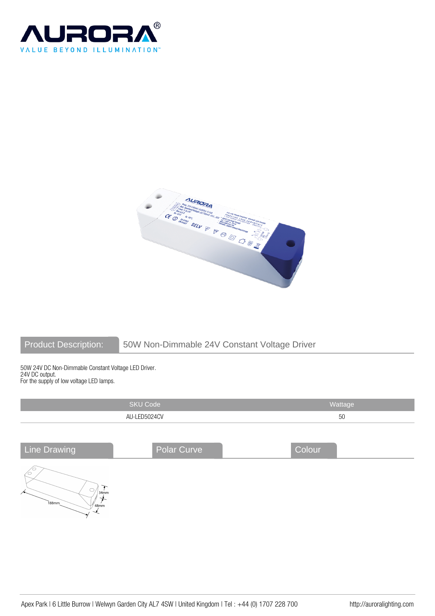



# Product Description: 50W Non-Dimmable 24V Constant Voltage Driver

50W 24V DC Non-Dimmable Constant Voltage LED Driver. 24V DC output. For the supply of low voltage LED lamps.